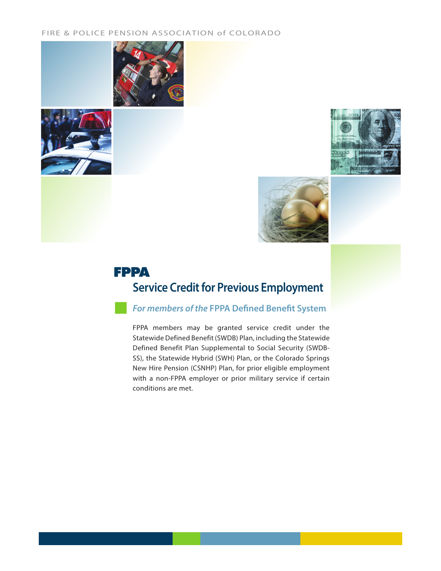### FIRE & POLICE PENSION ASSOCIATION of COLORADO









# **Service Credit for Previous Employment FPPA**

*For members of the* **FPPA Defined Benefit System**

FPPA members may be granted service credit under the Statewide Defined Benefit (SWDB) Plan, including the Statewide Defined Benefit Plan Supplemental to Social Security (SWDB-SS), the Statewide Hybrid (SWH) Plan, or the Colorado Springs New Hire Pension (CSNHP) Plan, for prior eligible employment with a non-FPPA employer or prior military service if certain conditions are met.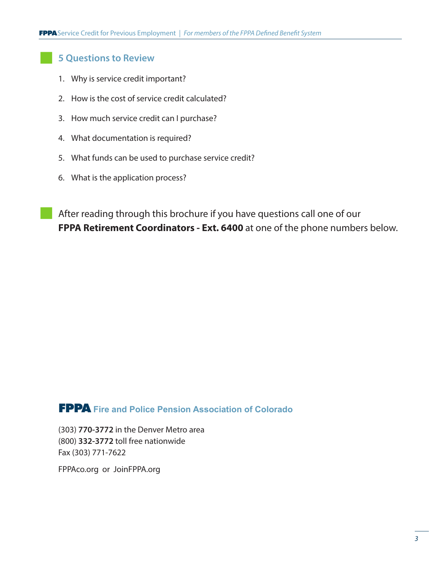## **5 Questions to Review**

- 1. Why is service credit important?
- 2. How is the cost of service credit calculated?
- 3. How much service credit can I purchase?
- 4. What documentation is required?
- 5. What funds can be used to purchase service credit?
- 6. What is the application process?

After reading through this brochure if you have questions call one of our **FPPA Retirement Coordinators - Ext. 6400** at one of the phone numbers below.

## **FPPA Fire and Police Pension Association of Colorado**

(303) **770-3772** in the Denver Metro area (800) **332-3772** toll free nationwide Fax (303) 771-7622

FPPAco.org or JoinFPPA.org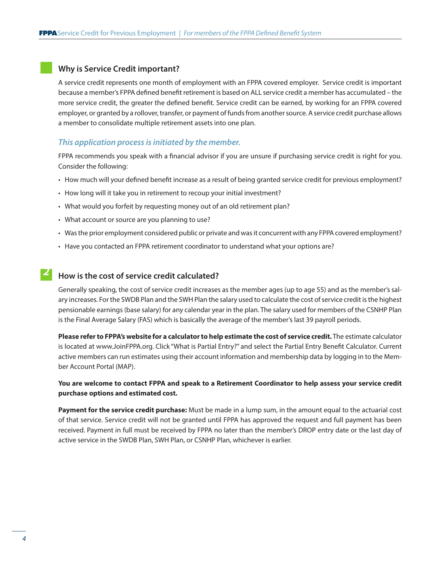## **Why is Service Credit important?**

A service credit represents one month of employment with an FPPA covered employer. Service credit is important because a member's FPPA defined benefit retirement is based on ALL service credit a member has accumulated – the more service credit, the greater the defined benefit. Service credit can be earned, by working for an FPPA covered employer, or granted by a rollover, transfer, or payment of funds from another source. A service credit purchase allows a member to consolidate multiple retirement assets into one plan.

## *This application process is initiated by the member.*

FPPA recommends you speak with a financial advisor if you are unsure if purchasing service credit is right for you. Consider the following:

- How much will your defined benefit increase as a result of being granted service credit for previous employment?
- How long will it take you in retirement to recoup your initial investment?
- What would you forfeit by requesting money out of an old retirement plan?
- What account or source are you planning to use?
- Was the prior employment considered public or private and was it concurrent with any FPPA covered employment?
- Have you contacted an FPPA retirement coordinator to understand what your options are?

# *P* How is the cost of service credit calculated?

Generally speaking, the cost of service credit increases as the member ages (up to age 55) and as the member's salary increases. For the SWDB Plan and the SWH Plan the salary used to calculate the cost of service credit is the highest pensionable earnings (base salary) for any calendar year in the plan. The salary used for members of the CSNHP Plan is the Final Average Salary (FAS) which is basically the average of the member's last 39 payroll periods.

**Please refer to FPPA's website for a calculator to help estimate the cost of service credit.** The estimate calculator is located at www.JoinFPPA.org. Click "What is Partial Entry?" and select the Partial Entry Benefit Calculator. Current active members can run estimates using their account information and membership data by logging in to the Member Account Portal (MAP).

**You are welcome to contact FPPA and speak to a Retirement Coordinator to help assess your service credit purchase options and estimated cost.**

**Payment for the service credit purchase:** Must be made in a lump sum, in the amount equal to the actuarial cost of that service. Service credit will not be granted until FPPA has approved the request and full payment has been received. Payment in full must be received by FPPA no later than the member's DROP entry date or the last day of active service in the SWDB Plan, SWH Plan, or CSNHP Plan, whichever is earlier.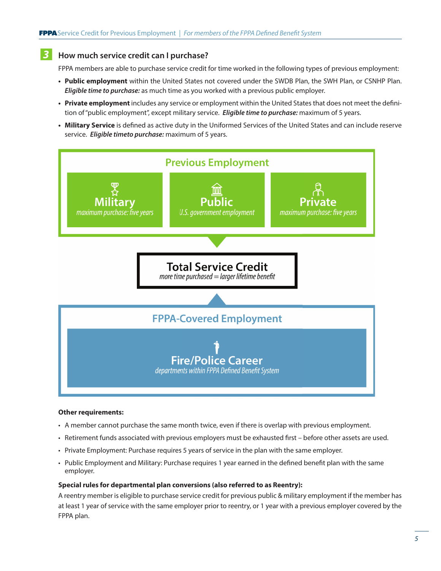#### **How much service credit can I purchase?** *3*

FPPA members are able to purchase service credit for time worked in the following types of previous employment:

- **• Public employment** within the United States not covered under the SWDB Plan, the SWH Plan, or CSNHP Plan. *Eligible time to purchase:* as much time as you worked with a previous public employer.
- **• Private employment** includes any service or employment within the United States that does not meet the definition of "public employment", except military service. *Eligible time to purchase:* maximum of 5 years.
- **• Military Service** is defined as active duty in the Uniformed Services of the United States and can include reserve service. *Eligible timeto purchase:* maximum of 5 years.



### **Other requirements:**

- A member cannot purchase the same month twice, even if there is overlap with previous employment.
- Retirement funds associated with previous employers must be exhausted first before other assets are used.
- Private Employment: Purchase requires 5 years of service in the plan with the same employer.
- Public Employment and Military: Purchase requires 1 year earned in the defined benefit plan with the same employer.

### **Special rules for departmental plan conversions (also referred to as Reentry):**

A reentry member is eligible to purchase service credit for previous public & military employment if the member has at least 1 year of service with the same employer prior to reentry, or 1 year with a previous employer covered by the FPPA plan.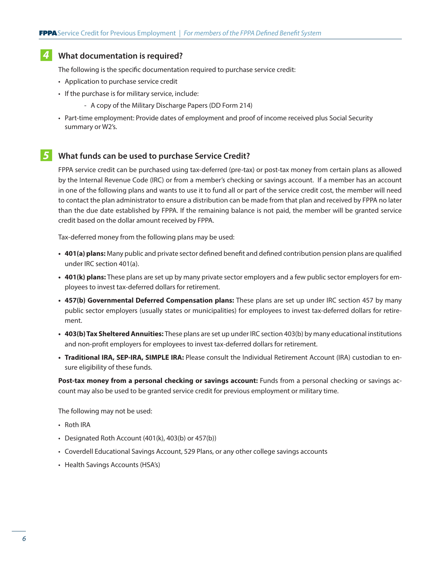# **What documentation is required?**  *4*

The following is the specific documentation required to purchase service credit:

- Application to purchase service credit
- If the purchase is for military service, include:
	- A copy of the Military Discharge Papers (DD Form 214)
- Part-time employment: Provide dates of employment and proof of income received plus Social Security summary or W2's.

#### **What funds can be used to purchase Service Credit?** *5*

FPPA service credit can be purchased using tax-deferred (pre-tax) or post-tax money from certain plans as allowed by the Internal Revenue Code (IRC) or from a member's checking or savings account. If a member has an account in one of the following plans and wants to use it to fund all or part of the service credit cost, the member will need to contact the plan administrator to ensure a distribution can be made from that plan and received by FPPA no later than the due date established by FPPA. If the remaining balance is not paid, the member will be granted service credit based on the dollar amount received by FPPA.

Tax-deferred money from the following plans may be used:

- **• 401(a) plans:** Many public and private sector defined benefit and defined contribution pension plans are qualified under IRC section 401(a).
- **• 401(k) plans:** These plans are set up by many private sector employers and a few public sector employers for employees to invest tax-deferred dollars for retirement.
- **• 457(b) Governmental Deferred Compensation plans:** These plans are set up under IRC section 457 by many public sector employers (usually states or municipalities) for employees to invest tax-deferred dollars for retirement.
- **• 403(b) Tax Sheltered Annuities:** These plans are set up under IRC section 403(b) by many educational institutions and non-profit employers for employees to invest tax-deferred dollars for retirement.
- **• Traditional IRA, SEP-IRA, SIMPLE IRA:** Please consult the Individual Retirement Account (IRA) custodian to ensure eligibility of these funds.

Post-tax money from a personal checking or savings account: Funds from a personal checking or savings account may also be used to be granted service credit for previous employment or military time.

The following may not be used:

- Roth IRA
- Designated Roth Account (401(k), 403(b) or 457(b))
- Coverdell Educational Savings Account, 529 Plans, or any other college savings accounts
- Health Savings Accounts (HSA's)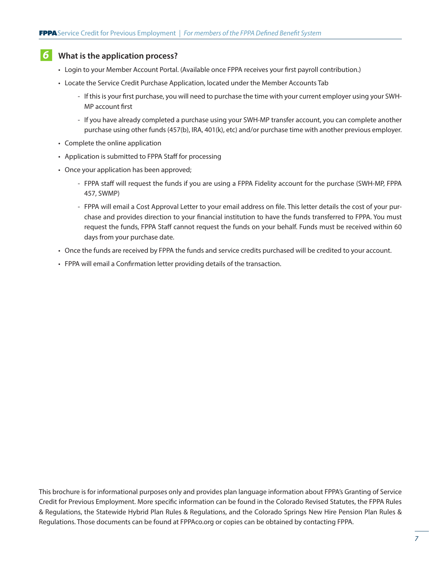# **What is the application process?** *6*

- Login to your Member Account Portal. (Available once FPPA receives your first payroll contribution.)
- Locate the Service Credit Purchase Application, located under the Member Accounts Tab
	- If this is your first purchase, you will need to purchase the time with your current employer using your SWH-MP account first
	- If you have already completed a purchase using your SWH-MP transfer account, you can complete another purchase using other funds (457(b), IRA, 401(k), etc) and/or purchase time with another previous employer.
- Complete the online application
- Application is submitted to FPPA Staff for processing
- Once your application has been approved;
	- FPPA staff will request the funds if you are using a FPPA Fidelity account for the purchase (SWH-MP, FPPA 457, SWMP)
	- FPPA will email a Cost Approval Letter to your email address on file. This letter details the cost of your purchase and provides direction to your financial institution to have the funds transferred to FPPA. You must request the funds, FPPA Staff cannot request the funds on your behalf. Funds must be received within 60 days from your purchase date.
- Once the funds are received by FPPA the funds and service credits purchased will be credited to your account.
- FPPA will email a Confirmation letter providing details of the transaction.

This brochure is for informational purposes only and provides plan language information about FPPA's Granting of Service Credit for Previous Employment. More specific information can be found in the Colorado Revised Statutes, the FPPA Rules & Regulations, the Statewide Hybrid Plan Rules & Regulations, and the Colorado Springs New Hire Pension Plan Rules & Regulations. Those documents can be found at FPPAco.org or copies can be obtained by contacting FPPA.